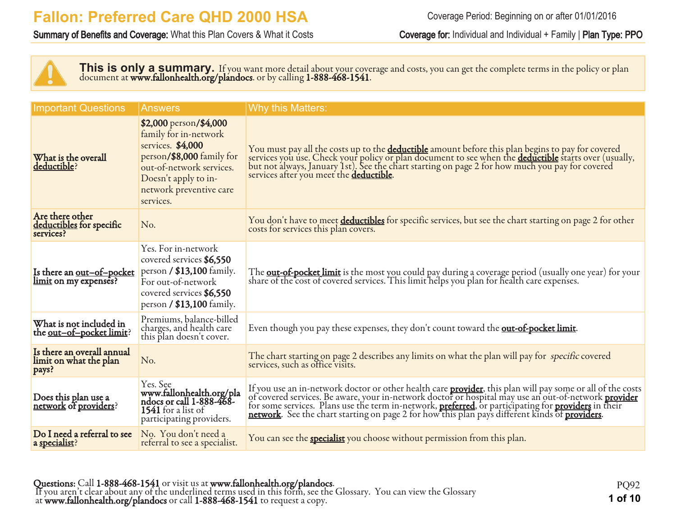#### Summary of Benefits and Coverage: What this Plan Covers & What it Costs Coverage for: Individual and Individual + Family | Plan Type: PPO

This is only a summary. If you want more detail about your coverage and costs, you can get the complete terms in the policy or plan document at **www.fallonhealth.org/plandocs**. or by calling **1-888-468-1541**.

| <b>Important Questions</b>                                       | <b>Answers</b>                                                                                                                                                                                | <b>Why this Matters:</b>                                                                                                                                                                                                                                                                          |
|------------------------------------------------------------------|-----------------------------------------------------------------------------------------------------------------------------------------------------------------------------------------------|---------------------------------------------------------------------------------------------------------------------------------------------------------------------------------------------------------------------------------------------------------------------------------------------------|
| What is the overall<br>deductible?                               | \$2,000 person/\$4,000<br>family for in-network<br>services. \$4,000<br>person/\$8,000 family for<br>out-of-network services.<br>Doesn't apply to in-<br>network preventive care<br>services. | You must pay all the costs up to the <b>deductible</b> amount before this plan begins to pay for covered<br>services you use. Check your policy or plan document to see when the <b>deductible</b> starts over (usually,<br>but not always, Ja<br>services after you meet the <b>deductible</b> . |
| Are there other<br>deductibles for specific<br>services?         | No.                                                                                                                                                                                           | You don't have to meet deductibles for specific services, but see the chart starting on page 2 for other<br>costs for services this plan covers.                                                                                                                                                  |
| Is there an <u>out-of-pocket</u><br><u>limit</u> on my expenses? | Yes. For in-network<br>covered services \$6,550<br>person $/$ \$13,100 family.<br>For out-of-network<br>covered services \$6,550<br>person / \$13,100 family.                                 | The <b>out-of-pocket limit</b> is the most you could pay during a coverage period (usually one year) for your<br>share of the cost of covered services. This limit helps you plan for health care expenses.                                                                                       |
| What is not included in<br>the <u>out-of-pocket limit</u> ?      | Premiums, balance-billed<br>charges, and health care<br>this plan doesn't cover.                                                                                                              | Even though you pay these expenses, they don't count toward the out-of-pocket limit.                                                                                                                                                                                                              |
| Is there an overall annual<br>limit on what the plan<br>pays?    | No.                                                                                                                                                                                           | The chart starting on page 2 describes any limits on what the plan will pay for specific covered<br>services, such as office visits.                                                                                                                                                              |
| Does this plan use a<br>network of providers?                    | Yes. See<br>www.fallonhealth.org/pla<br>ndocs or call 1-888-468-<br>1541 for a list of<br>participating providers.                                                                            | If you use an in-network doctor or other health care <b>provider</b> , this plan will pay some or all of the costs of covered services. Be aware, your in-network doctor or hospital may use an out-of-network <b>provider</b> for some s                                                         |
| Do I need a referral to see<br>a <u>specialist</u> ?             | No. You don't need a<br>referral to see a specialist.                                                                                                                                         | You can see the <b>specialist</b> you choose without permission from this plan.                                                                                                                                                                                                                   |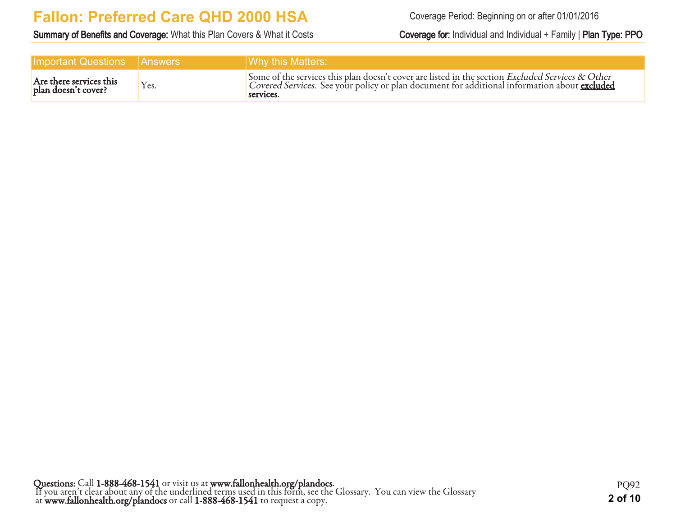Summary of Benefits and Coverage: What this Plan Covers & What it Costs Coverage for: Individual and Individual + Family | Plan Type: PPO

| <b>Important Questions Answers</b>             |      | Why this Matters:                                                                                                                                                                                                        |
|------------------------------------------------|------|--------------------------------------------------------------------------------------------------------------------------------------------------------------------------------------------------------------------------|
| Are there services this<br>plan doesn't cover? | Yes. | Some of the services this plan doesn't cover are listed in the section <i>Excluded Services &amp; Other</i><br>Covered Services. See your policy or plan document for additional information about excluded<br>services. |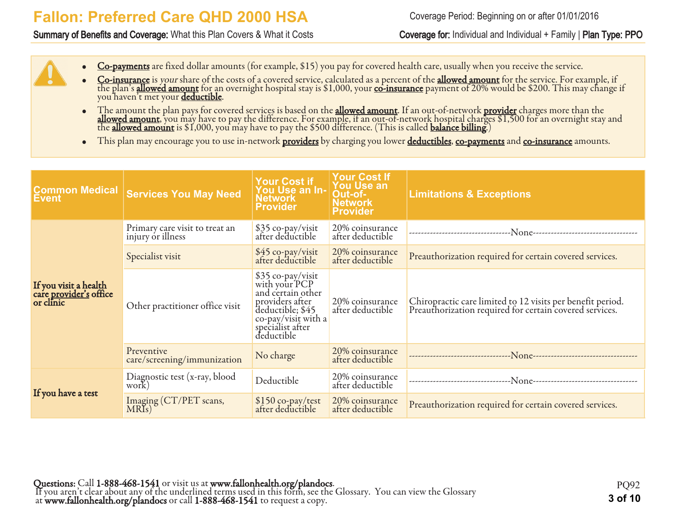#### Summary of Benefits and Coverage: What this Plan Covers & What it Costs Coverage for: Individual and Individual + Family | Plan Type: PPO

- Co-payments are fixed dollar amounts (for example, \$15) you pay for covered health care, usually when you receive the service.
- Co-insurance is your share of the costs of a covered service, calculated as a percent of the allowed amount for the service. For example, if the plan's <mark>allowed amount</mark> for an overnight hospital stay is \$1,000, your <u>co-insurance</u> payment of 20% would be \$200. This may change if you haven't met your <u>deductible</u>.
- The amount the plan pays for covered services is based on the **allowed amount**. If an out-of-network **provider** charges more than the **allowed amount**, you may have to pay the difference. For example, if an out-of-network hospital charges \$1,500 for an overnight stay and the <u>allowed amount</u> is \$1,000, you may have to pay the \$500 difference. (This is called <u>balance billing</u>.)
- This plan may encourage you to use in-network **providers** by charging you lower **deductibles**, co-payments and co-insurance amounts.

| <b>Common Medical</b><br><b>Event</b>                               | <b>Services You May Need</b>                        | Your Cost if<br>You Use an In-<br>Network<br><b>Provider</b>                                                                                            | <b>Your Cost If</b><br><b>You Use an</b><br>Out-of-<br><b>Network</b><br><b>Provider</b> | <b>Limitations &amp; Exceptions</b>                                                                                   |
|---------------------------------------------------------------------|-----------------------------------------------------|---------------------------------------------------------------------------------------------------------------------------------------------------------|------------------------------------------------------------------------------------------|-----------------------------------------------------------------------------------------------------------------------|
|                                                                     | Primary care visit to treat an<br>injury or illness | \$35 co-pay/visit<br>after deductible                                                                                                                   | 20% coinsurance<br>after deductible                                                      | ---------------------                                                                                                 |
|                                                                     | Specialist visit                                    | \$45 co-pay/visit<br>after deductible                                                                                                                   | 20% coinsurance<br>after deductible                                                      | Preauthorization required for certain covered services.                                                               |
| If you visit a health<br>care <u>provider's</u> office<br>or clinic | Other practitioner office visit                     | \$35 co-pay/visit<br>with your PCP<br>and certain other<br>providers after<br>deductible; \$45<br>co-pay/visit with a<br>specialist after<br>deductible | 20% coinsurance<br>after deductible                                                      | Chiropractic care limited to 12 visits per benefit period.<br>Preauthorization required for certain covered services. |
|                                                                     | Preventive<br>care/screening/immunization           | No charge                                                                                                                                               | 20% coinsurance<br>after deductible                                                      |                                                                                                                       |
| If you have a test                                                  | Diagnostic test (x-ray, blood<br>work)              | Deductible                                                                                                                                              | 20% coinsurance<br>after deductible                                                      | -------------------------------                                                                                       |
|                                                                     | Imaging (CT/PET scans,<br>MRIs)                     | \$150 co-pay/test<br>after deductible                                                                                                                   | 20% coinsurance<br>after deductible                                                      | Preauthorization required for certain covered services.                                                               |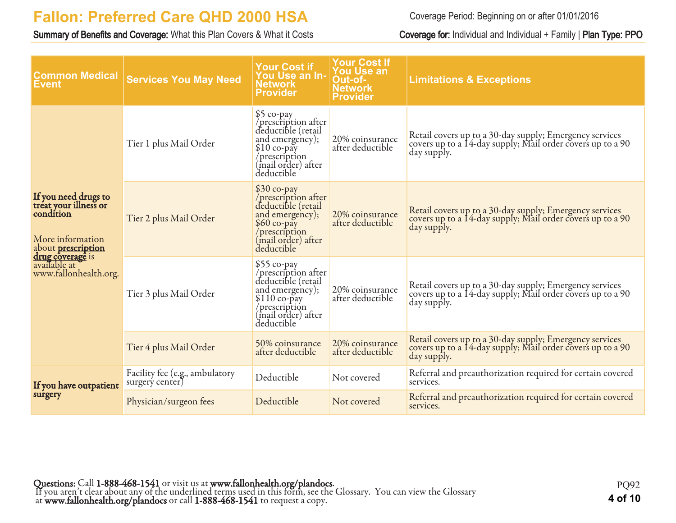Summary of Benefits and Coverage: What this Plan Covers & What it Costs Coverage for: Individual and Individual + Family | Plan Type: PPO

| <b>Common Medical</b><br>Event                                                                                                                                                  | <b>Services You May Need</b>                      | <b>Your Cost if</b><br>You Use an In-<br><b>Network</b><br><b>Provider</b>                                                                        | <b>Your Cost If</b><br><b>You Use an</b><br>Out-of-<br><b>Network</b><br><b>Provider</b> | <b>Limitations &amp; Exceptions</b>                                                                                                  |
|---------------------------------------------------------------------------------------------------------------------------------------------------------------------------------|---------------------------------------------------|---------------------------------------------------------------------------------------------------------------------------------------------------|------------------------------------------------------------------------------------------|--------------------------------------------------------------------------------------------------------------------------------------|
|                                                                                                                                                                                 | Tier 1 plus Mail Order                            | $$5$ co-pay<br>/prescription after<br>deductible (retail<br>and emergency);<br>$$10$ co-pay<br>/prescription<br>(mail order) after<br>deductible  | 20% coinsurance<br>after deductible                                                      | Retail covers up to a 30-day supply; Emergency services<br>covers up to a 14-day supply; Mail order covers up to a 90<br>day supply. |
| If you need drugs to<br>treat your illness or<br>condition<br>More information<br>about <b>prescription</b><br><b>drug coverage</b> is<br>available at<br>www.fallonhealth.org. | Tier 2 plus Mail Order                            | \$30 co-pay<br>/prescription after<br>deductible (retail<br>and emergency);<br>$$60$ co-pay<br>/prescription<br>(mail order) after<br>deductible  | 20% coinsurance<br>after deductible                                                      | Retail covers up to a 30-day supply; Emergency services<br>covers up to a 14-day supply; Mail order covers up to a 90<br>day supply. |
|                                                                                                                                                                                 | Tier 3 plus Mail Order                            | $$55$ co-pay<br>/prescription after<br>deductible (retail<br>and emergency);<br>\$110 co-pay<br>/prescription<br>(mail order) after<br>deductible | 20% coinsurance<br>after deductible                                                      | Retail covers up to a 30-day supply; Emergency services<br>covers up to a 14-day supply; Mail order covers up to a 90<br>day supply. |
|                                                                                                                                                                                 | Tier 4 plus Mail Order                            | 50% coinsurance<br>after deductible                                                                                                               | 20% coinsurance<br>after deductible                                                      | Retail covers up to a 30-day supply; Emergency services<br>covers up to a 14-day supply; Mail order covers up to a 90<br>day supply. |
| If you have outpatient                                                                                                                                                          | Facility fee (e.g., ambulatory<br>surgery center) | Deductible                                                                                                                                        | Not covered                                                                              | Referral and preauthorization required for certain covered<br>services.                                                              |
| surgery                                                                                                                                                                         | Physician/surgeon fees                            | Deductible                                                                                                                                        | Not covered                                                                              | Referral and preauthorization required for certain covered<br>services.                                                              |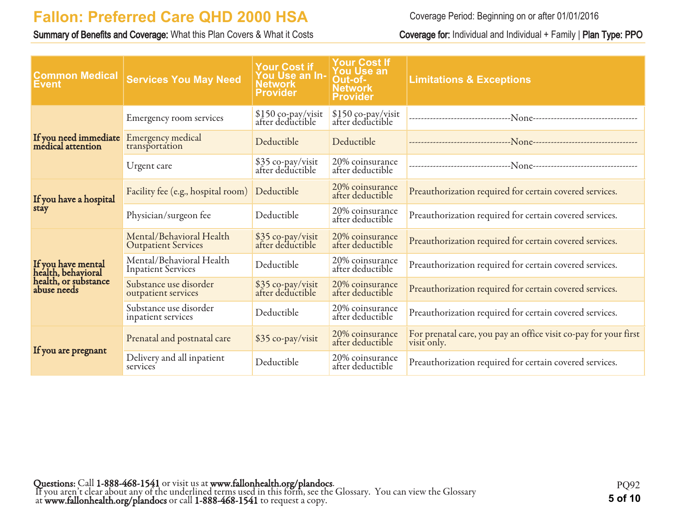Summary of Benefits and Coverage: What this Plan Covers & What it Costs Coverage for: Individual and Individual + Family | Plan Type: PPO

| <b>Common Medical</b><br><b>Event</b>      | <b>Services You May Need</b>                           | <b>Your Cost if</b><br><b>You Use an In-</b><br>Network<br><b>Provider</b> | <b>Your Cost If</b><br>You Use an<br>Out-of-<br><b>Network</b><br><b>Provider</b> | <b>Limitations &amp; Exceptions</b>                                                  |
|--------------------------------------------|--------------------------------------------------------|----------------------------------------------------------------------------|-----------------------------------------------------------------------------------|--------------------------------------------------------------------------------------|
|                                            | Emergency room services                                | \$150 co-pay/visit<br>after deductible                                     | \$150 co-pay/visit<br>after deductible                                            |                                                                                      |
| If you need immediate<br>medical attention | Emergency medical<br>transportation                    | Deductible                                                                 | Deductible                                                                        |                                                                                      |
|                                            | Urgent care                                            | \$35 co-pay/visit<br>after deductible                                      | 20% coinsurance<br>after deductible                                               | --------------------------------N <sub>0NC</sub> ----------------------------------- |
| If you have a hospital                     | Facility fee (e.g., hospital room)                     | Deductible                                                                 | 20% coinsurance<br>after deductible                                               | Preauthorization required for certain covered services.                              |
| stay                                       | Physician/surgeon fee                                  | Deductible                                                                 | 20% coinsurance<br>after deductible                                               | Preauthorization required for certain covered services.                              |
|                                            | Mental/Behavioral Health<br><b>Outpatient Services</b> | \$35 co-pay/visit<br>after deductible                                      | 20% coinsurance<br>after deductible                                               | Preauthorization required for certain covered services.                              |
| If you have mental<br>health, behavioral   | Mental/Behavioral Health<br><b>Inpatient Services</b>  | Deductible                                                                 | 20% coinsurance<br>after deductible                                               | Preauthorization required for certain covered services.                              |
| health, or substance<br>abuse needs        | Substance use disorder<br>outpatient services          | \$35 co-pay/visit<br>after deductible                                      | 20% coinsurance<br>after deductible                                               | Preauthorization required for certain covered services.                              |
|                                            | Substance use disorder<br>inpatient services           | Deductible                                                                 | 20% coinsurance<br>after deductible                                               | Preauthorization required for certain covered services.                              |
|                                            | Prenatal and postnatal care                            | \$35 co-pay/visit                                                          | 20% coinsurance<br>after deductible                                               | For prenatal care, you pay an office visit co-pay for your first<br>visit only.      |
| If you are pregnant                        | Delivery and all inpatient<br>services                 | Deductible                                                                 | 20% coinsurance<br>after deductible                                               | Preauthorization required for certain covered services.                              |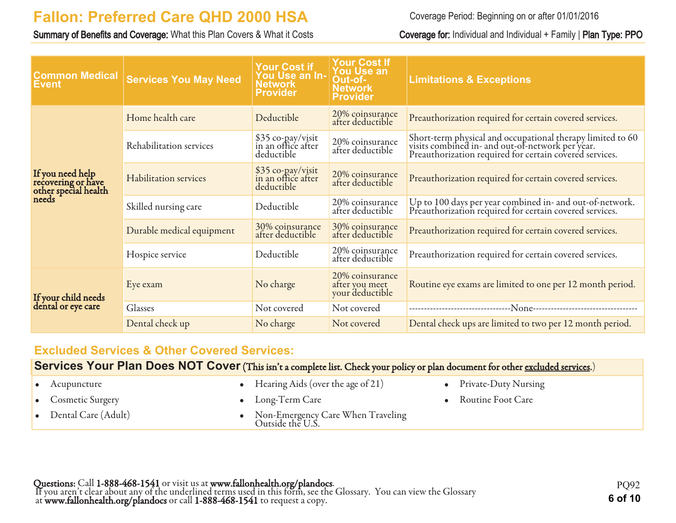Summary of Benefits and Coverage: What this Plan Covers & What it Costs Coverage for: Individual and Individual + Family | Plan Type: PPO

Coverage Period: Beginning on or after 01/01/2016

| <b>Common Medical</b><br><b>Event</b>                                   | <b>Services You May Need</b> | Your Cost if<br>You Use an In-<br>Network<br><b>Provider</b> | <b>Your Cost If</b><br><b>You Use an</b><br>Out-of-<br><b>Network</b><br><b>Provider</b> | <b>Limitations &amp; Exceptions</b>                                                                                                                                       |
|-------------------------------------------------------------------------|------------------------------|--------------------------------------------------------------|------------------------------------------------------------------------------------------|---------------------------------------------------------------------------------------------------------------------------------------------------------------------------|
|                                                                         | Home health care             | Deductible                                                   | 20% coinsurance<br>after deductible                                                      | Preauthorization required for certain covered services.                                                                                                                   |
| If you need help<br>recovering or have<br>other special health<br>needs | Rehabilitation services      | \$35 co-pay/visit<br>in an office after<br>deductible        | 20% coinsurance<br>after deductible                                                      | Short-term physical and occupational therapy limited to 60<br>visits combined in- and out-of-network per year.<br>Preauthorization required for certain covered services. |
|                                                                         | <b>Habilitation services</b> | \$35 co-pay/visit<br>in an office after<br>deductible        | 20% coinsurance<br>after deductible                                                      | Preauthorization required for certain covered services.                                                                                                                   |
|                                                                         | Skilled nursing care         | Deductible                                                   | 20% coinsurance<br>after deductible                                                      | Up to 100 days per year combined in- and out-of-network.<br>Preauthorization required for certain covered services.                                                       |
|                                                                         | Durable medical equipment    | 30% coinsurance<br>after deductible                          | 30% coinsurance<br>after deductible                                                      | Preauthorization required for certain covered services.                                                                                                                   |
|                                                                         | Hospice service              | Deductible                                                   | 20% coinsurance<br>after deductible                                                      | Preauthorization required for certain covered services.                                                                                                                   |
|                                                                         | Eye exam                     | No charge                                                    | 20% coinsurance<br>after you meet<br>your deductible                                     | Routine eye exams are limited to one per 12 month period.                                                                                                                 |
| If your child needs<br>dental or eye care                               | Glasses                      | Not covered                                                  | Not covered                                                                              |                                                                                                                                                                           |
|                                                                         | Dental check up              | No charge                                                    | Not covered                                                                              | Dental check ups are limited to two per 12 month period.                                                                                                                  |

#### **Excluded Services & Other Covered Services:**

| Services Your Plan Does NOT Cover (This isn't a complete list. Check your policy or plan document for other excluded services.) |  |  |  |
|---------------------------------------------------------------------------------------------------------------------------------|--|--|--|
|---------------------------------------------------------------------------------------------------------------------------------|--|--|--|

| $\bullet$ Acupuncture         | • Hearing Aids (over the age of $21$ )                  | • Private-Duty Nursing |
|-------------------------------|---------------------------------------------------------|------------------------|
| • Cosmetic Surgery            | • Long-Term Care                                        | • Routine Foot Care    |
| $\bullet$ Dental Care (Adult) | • Non-Emergency Care When Traveling<br>Outside the U.S. |                        |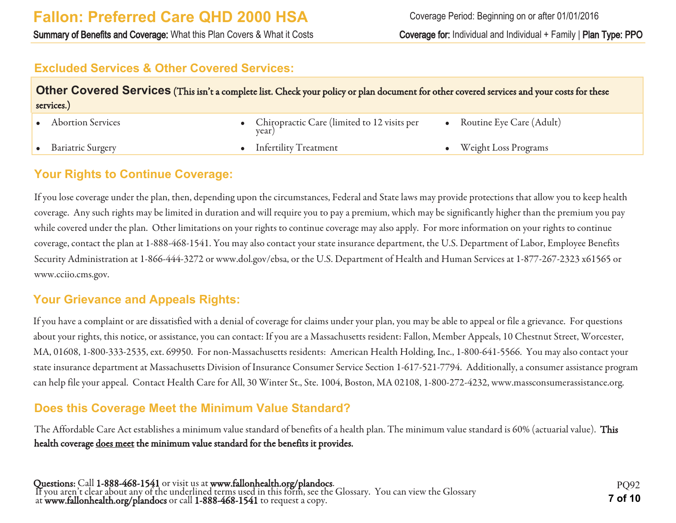Summary of Benefits and Coverage: What this Plan Covers & What it Costs Coverage for: Individual and Individual + Family | Plan Type: PPO

#### **Excluded Services & Other Covered Services:**

| Other Covered Services (This isn't a complete list. Check your policy or plan document for other covered services and your costs for these<br>services.) |  |                                                        |  |                              |  |
|----------------------------------------------------------------------------------------------------------------------------------------------------------|--|--------------------------------------------------------|--|------------------------------|--|
| <b>Abortion Services</b>                                                                                                                                 |  | • Chiropractic Care (limited to 12 visits per<br>year) |  | • Routine Eye Care $(Adult)$ |  |
| <b>Bariatric Surgery</b>                                                                                                                                 |  | • Infertility Treatment                                |  | Weight Loss Programs         |  |

#### **Your Rights to Continue Coverage:**

If you lose coverage under the plan, then, depending upon the circumstances, Federal and State laws may provide protections that allow you to keep health coverage. Any such rights may be limited in duration and will require you to pay a premium, which may be significantly higher than the premium you pay while covered under the plan. Other limitations on your rights to continue coverage may also apply. For more information on your rights to continue coverage, contact the plan at 1-888-468-1541. You may also contact your state insurance department, the U.S. Department of Labor, Employee Benefits Security Administration at 1-866-444-3272 or www.dol.gov/ebsa, or the U.S. Department of Health and Human Services at 1-877-267-2323 x61565 or www.cciio.cms.gov.

#### **Your Grievance and Appeals Rights:**

If you have a complaint or are dissatisfied with a denial of coverage for claims under your plan, you may be able to appeal or file a grievance. For questions about your rights, this notice, or assistance, you can contact: If you are a Massachusetts resident: Fallon, Member Appeals, 10 Chestnut Street, Worcester, MA, 01608, 1-800-333-2535, ext. 69950. For non-Massachusetts residents: American Health Holding, Inc., 1-800-641-5566. You may also contact your state insurance department at Massachusetts Division of Insurance Consumer Service Section 1-617-521-7794. Additionally, a consumer assistance program can help file your appeal. Contact Health Care for All, 30 Winter St., Ste. 1004, Boston, MA 02108, 1-800-272-4232, www.massconsumerassistance.org.

#### **Does this Coverage Meet the Minimum Value Standard?**

The Affordable Care Act establishes a minimum value standard of benefits of a health plan. The minimum value standard is 60% (actuarial value). This health coverage does meet the minimum value standard for the benefits it provides.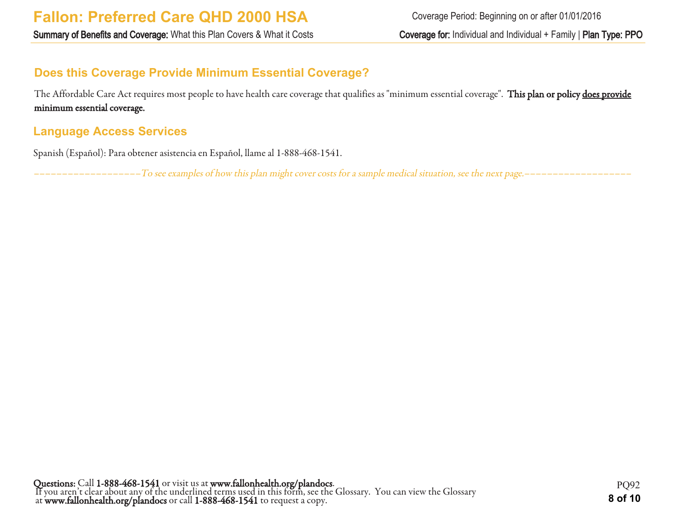## **Does this Coverage Provide Minimum Essential Coverage?**

The Affordable Care Act requires most people to have health care coverage that qualifies as "minimum essential coverage". This plan or policy does provide minimum essential coverage.

#### **Language Access Services**

Spanish (Español): Para obtener asistencia en Español, llame al 1-888-468-1541.

–––––––––––––––––––To see examples of how this plan might cover costs for a sample medical situation, see the next page.–––––––––––––––––––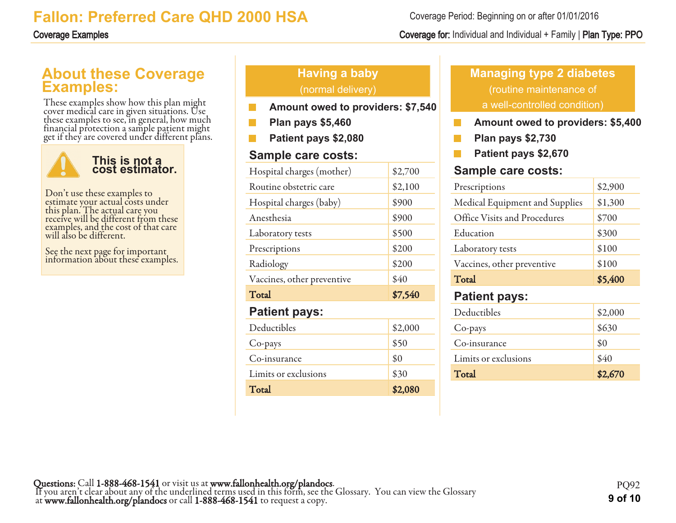## **About these Coverage Examples:**

These examples show how this plan might cover medical care in given situations. Use these examples to see, in general, how much financial protection a sample patient might get if they are covered under different plans.



Don't use these examples to estimate your actual costs under this plan. The actual care you receive will be different from these examples, and the cost of that care will also be different.

See the next page for important information about these examples.

## **Having a baby** (normal delivery)

- **Amount owed to providers: \$7,540**
- **Plan pays \$5,460**
- **Patient pays \$2,080**

#### **Sample care costs:**

| Hospital charges (mother)  | \$2,700 |
|----------------------------|---------|
| Routine obstetric care     | \$2,100 |
| Hospital charges (baby)    | \$900   |
| Anesthesia                 | \$900   |
| Laboratory tests           | \$500   |
| Prescriptions              | \$200   |
| Radiology                  | \$200   |
| Vaccines, other preventive | \$40    |
| Total                      | \$7,540 |
| <b>Patient pays:</b>       |         |
| Deductibles                | \$2,000 |
| Co-pays                    | \$50    |
| Co-insurance               | \$0     |
| Limits or exclusions       | \$30    |
| Total                      | \$2,080 |

## **Managing type 2 diabetes** (routine maintenance of a well-controlled condition)

- **Amount owed to providers: \$5,400** T.
- П **Plan pays \$2,730**
- **Patient pays \$2,670**

#### **Sample care costs:**

| Prescriptions                  | \$2,900 |
|--------------------------------|---------|
| Medical Equipment and Supplies | \$1,300 |
| Office Visits and Procedures   | \$700   |
| Education                      | \$300   |
| Laboratory tests               | \$100   |
| Vaccines, other preventive     | \$100   |
|                                |         |
| Total                          | \$5,400 |
| <b>Patient pays:</b>           |         |
| Deductibles                    | \$2,000 |
| Co-pays                        | \$630   |
| Co-insurance                   | \$0     |

Total \$2,670

Coverage Period: Beginning on or after 01/01/2016

#### Coverage Examples Coverage for: Individual and Individual + Family | Plan Type: PPO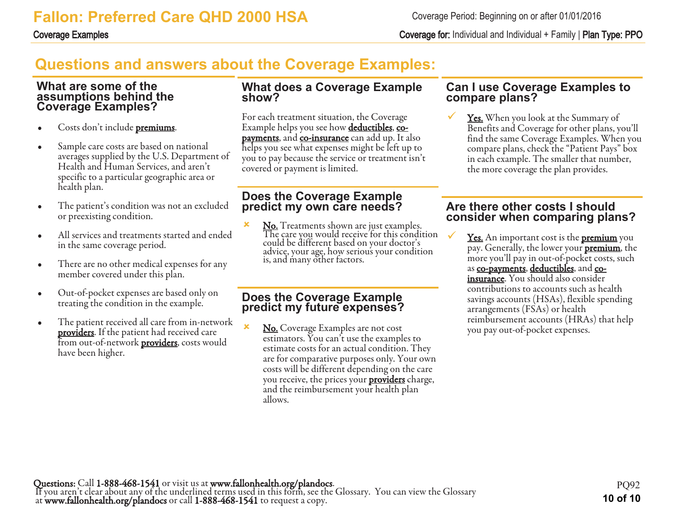Coverage Examples Coverage for: Individual and Individual + Family | Plan Type: PPO

# **Questions and answers about the Coverage Examples:**

#### **What are some of the assumptions behind the Coverage Examples?**

- Costs don't include **premiums**.
- Sample care costs are based on national averages supplied by the U.S. Department of Health and Human Services, and aren't specific to a particular geographic area or health plan.
- The patient's condition was not an excluded or preexisting condition.
- All services and treatments started and ended in the same coverage period.
- There are no other medical expenses for any member covered under this plan.
- Out-of-pocket expenses are based only on treating the condition in the example.
- The patient received all care from in-network **providers**. If the patient had received care from out-of-network **providers**, costs would have been higher.

#### **What does a Coverage Example show?**

For each treatment situation, the Coverage Example helps you see how **deductibles**, copayments, and co-insurance can add up. It also helps you see what expenses might be left up to you to pay because the service or treatment isn't covered or payment is limited.

#### **Does the Coverage Example predict my own care needs?**

**x** No. Treatments shown are just examples. The care you would receive for this condition  $\overline{\mathrm{The}}$ could be different based on your doctor's advice, your age, how serious your condition is, and many other factors.

#### **Does the Coverage Example predict my future expenses?**

No. Coverage Examples are not cost estimators. You can't use the examples to estimate costs for an actual condition. They are for comparative purposes only. Your own costs will be different depending on the care you receive, the prices your **providers** charge, and the reimbursement your health plan allows.

#### **Can I use Coverage Examples to compare plans?**

**<u>Yes.</u>** When you look at the Summary of Benefits and Coverage for other plans, you'll find the same Coverage Examples. When you compare plans, check the "Patient Pays" box in each example. The smaller that number, the more coverage the plan provides.

#### **Are there other costs I should consider when comparing plans?**

Yes. An important cost is the **premium** you pay. Generally, the lower your **premium**, the more you'll pay in out-of-pocket costs, such as co-payments, deductibles, and coinsurance. You should also consider contributions to accounts such as health savings accounts (HSAs), flexible spending arrangements (FSAs) or health reimbursement accounts (HRAs) that help you pay out-of-pocket expenses.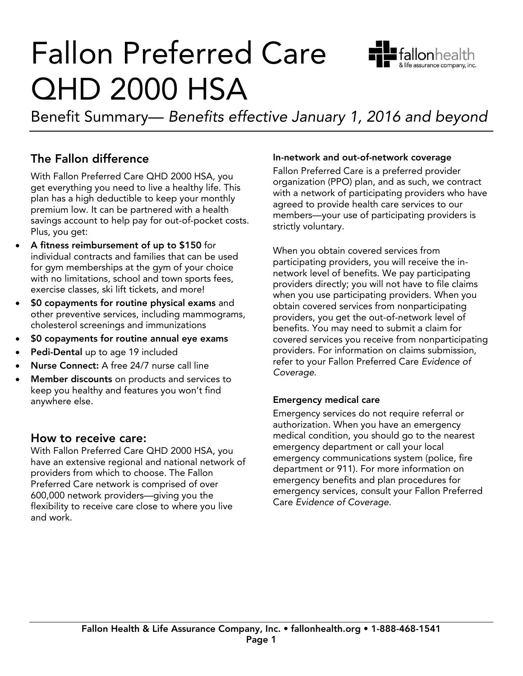

Benefit Summary— Benefits effective January 1, 2016 and beyond

## The Fallon difference

With Fallon Preferred Care QHD 2000 HSA, you get everything you need to live a healthy life. This plan has a high deductible to keep your monthly premium low. It can be partnered with a health savings account to help pay for out-of-pocket costs. Plus, you get:

- A fitness reimbursement of up to  $$150$  for<br>individual contracts and families that can be individual contracts and families that can be used<br>for gym memberships at the gym of your choice with no limitations, school and town sports fees, exercise classes, ski lift tickets, and more!
- of the state classes, ski lift tickets, and more than and<br>
other preventive services including mammogram other preventive services, including mammograms,
- $\bullet$  \$0 copayments for routine annual eye exams
- Pedi-Dental up to age 19 included
- Nurse Connect: A free 24/7 nurse call line
- Member discounts on products and services to<br>keep you healthy and features you won't find anywhere else. anywhere else.

#### How to receive care:

With Fallon Preferred Care QHD 2000 HSA, you have an extensive regional and national network of providers from which to choose. The Fallon Preferred Care network is comprised of over 600,000 network providers-giving you the flexibility to receive care close to where you live and work. and work.

In-network and out-of-network coverage<br>Fallon Preferred Care is a preferred provider organization (PPO) plan, and as such, we contract with a network of participating providers who have a greed to provide health care services to our members-your use of participating providers is strictly voluntary. strictly voluntary.

When you obtain covered services from<br>participating providers, you will receive the innetwork level of benefits. We pay participating providers directly; you will not have to file claims when you use participating providers. When you obtain covered services from nonparticipating. providers, you get the out-of-network level of benefits. You may need to submit a claim for covered services you receive from nonparticipating providers. For information on claims submission, providers. For information on claims submission,<br>refer to your Fallon Preferred Care Evidence of refer to your Fallon Preferred Care Evidence of Coverage.

**Emergency medical care**<br>Emergency services do not reguire referral or authorization. When you have an emergency medical condition, you should go to the nearest emergency department or call your local emergency communications system (police, fire department or 911). For more information on emergency benefits and plan procedures for emergency services, consult your Fallon Preferred emergency services, consultation of the consultation of the consultation of the consultation Preferred Preferred Preferred Preferred Preferred Preferred Preferred Preferred Preferred Preferred Preferred Preferred Preferred Care Evidence of Coverage.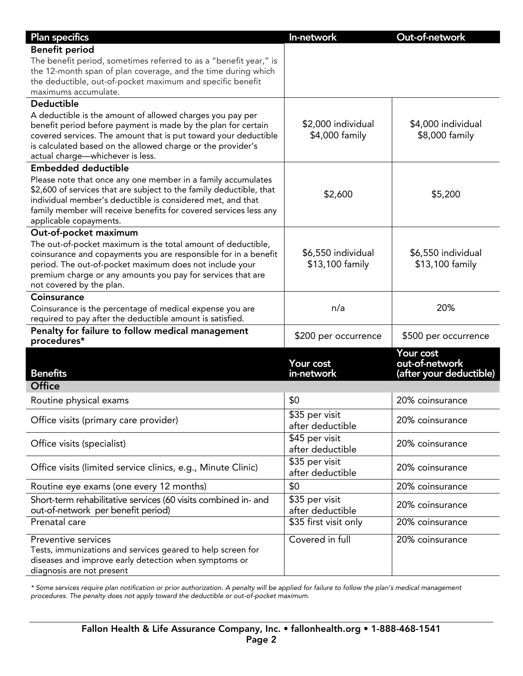| <b>Plan specifics</b>                                                                                                               | In-network              | Out-of-network                            |
|-------------------------------------------------------------------------------------------------------------------------------------|-------------------------|-------------------------------------------|
| <b>Benefit period</b>                                                                                                               |                         |                                           |
| The benefit period, sometimes referred to as a "benefit year," is                                                                   |                         |                                           |
| the 12-month span of plan coverage, and the time during which                                                                       |                         |                                           |
| the deductible, out-of-pocket maximum and specific benefit                                                                          |                         |                                           |
| maximums accumulate.                                                                                                                |                         |                                           |
| <b>Deductible</b>                                                                                                                   |                         |                                           |
| A deductible is the amount of allowed charges you pay per                                                                           |                         |                                           |
| benefit period before payment is made by the plan for certain                                                                       | \$2,000 individual      | \$4,000 individual                        |
| covered services. The amount that is put toward your deductible                                                                     | \$4,000 family          | \$8,000 family                            |
| is calculated based on the allowed charge or the provider's<br>actual charge-whichever is less.                                     |                         |                                           |
| <b>Embedded deductible</b>                                                                                                          |                         |                                           |
|                                                                                                                                     |                         |                                           |
| Please note that once any one member in a family accumulates<br>\$2,600 of services that are subject to the family deductible, that |                         |                                           |
| individual member's deductible is considered met, and that                                                                          | \$2,600                 | \$5,200                                   |
| family member will receive benefits for covered services less any                                                                   |                         |                                           |
| applicable copayments.                                                                                                              |                         |                                           |
| Out-of-pocket maximum                                                                                                               |                         |                                           |
| The out-of-pocket maximum is the total amount of deductible,                                                                        |                         |                                           |
| coinsurance and copayments you are responsible for in a benefit                                                                     | \$6,550 individual      | \$6,550 individual                        |
| period. The out-of-pocket maximum does not include your                                                                             | \$13,100 family         | \$13,100 family                           |
| premium charge or any amounts you pay for services that are                                                                         |                         |                                           |
| not covered by the plan.                                                                                                            |                         |                                           |
| Coinsurance                                                                                                                         |                         |                                           |
| Coinsurance is the percentage of medical expense you are                                                                            | n/a                     | 20%                                       |
| required to pay after the deductible amount is satisfied.                                                                           |                         |                                           |
| Penalty for failure to follow medical management                                                                                    | \$200 per occurrence    | \$500 per occurrence                      |
| procedures*                                                                                                                         |                         |                                           |
|                                                                                                                                     |                         | Your cost                                 |
| <b>Benefits</b>                                                                                                                     | Your cost<br>in-network | out-of-network<br>(after your deductible) |
| Office                                                                                                                              |                         |                                           |
|                                                                                                                                     |                         |                                           |
| Routine physical exams                                                                                                              | \$0                     | 20% coinsurance                           |
| Office visits (primary care provider)                                                                                               | \$35 per visit          | 20% coinsurance                           |
|                                                                                                                                     | after deductible        |                                           |
|                                                                                                                                     | \$45 per visit          | 20% coinsurance                           |
| Office visits (specialist)                                                                                                          | after deductible        |                                           |
|                                                                                                                                     | \$35 per visit          | 20% coinsurance                           |
| Office visits (limited service clinics, e.g., Minute Clinic)                                                                        | after deductible        |                                           |
| Routine eye exams (one every 12 months)                                                                                             | \$0                     | 20% coinsurance                           |
| Short-term rehabilitative services (60 visits combined in- and                                                                      | \$35 per visit          |                                           |
| out-of-network per benefit period)                                                                                                  | after deductible        | 20% coinsurance                           |
| Prenatal care                                                                                                                       | \$35 first visit only   | 20% coinsurance                           |
|                                                                                                                                     |                         |                                           |
| Preventive services                                                                                                                 | Covered in full         | 20% coinsurance                           |
| Tests, immunizations and services geared to help screen for                                                                         |                         |                                           |
| diseases and improve early detection when symptoms or<br>diagnosis are not present                                                  |                         |                                           |
|                                                                                                                                     |                         |                                           |

procedures The penalty does not apply toward the deductible or out-of-pocket maximum procedures. The penalty does not apply toward the deductible or out-of-pocket maximum.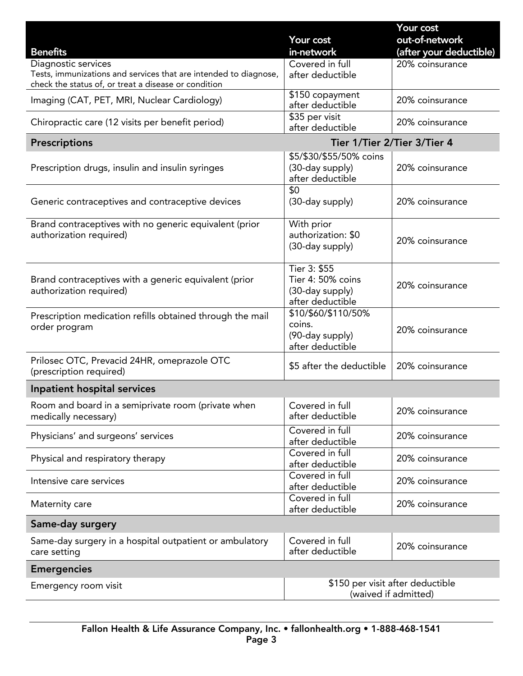|                                                                                                                                                 | Your cost                                                                | Your cost<br>out-of-network |  |
|-------------------------------------------------------------------------------------------------------------------------------------------------|--------------------------------------------------------------------------|-----------------------------|--|
| <b>Benefits</b>                                                                                                                                 | in-network                                                               | (after your deductible)     |  |
| Diagnostic services<br>Tests, immunizations and services that are intended to diagnose,<br>check the status of, or treat a disease or condition | Covered in full<br>after deductible                                      | 20% coinsurance             |  |
| Imaging (CAT, PET, MRI, Nuclear Cardiology)                                                                                                     | \$150 copayment<br>after deductible                                      | 20% coinsurance             |  |
| Chiropractic care (12 visits per benefit period)                                                                                                | \$35 per visit<br>after deductible                                       | 20% coinsurance             |  |
| <b>Prescriptions</b>                                                                                                                            | Tier 1/Tier 2/Tier 3/Tier 4                                              |                             |  |
| Prescription drugs, insulin and insulin syringes                                                                                                | \$5/\$30/\$55/50% coins<br>(30-day supply)<br>after deductible           | 20% coinsurance             |  |
| Generic contraceptives and contraceptive devices                                                                                                | \$0<br>(30-day supply)                                                   | 20% coinsurance             |  |
| Brand contraceptives with no generic equivalent (prior<br>authorization required)                                                               | With prior<br>authorization: \$0<br>(30-day supply)                      | 20% coinsurance             |  |
| Brand contraceptives with a generic equivalent (prior<br>authorization required)                                                                | Tier 3: \$55<br>Tier 4: 50% coins<br>(30-day supply)<br>after deductible | 20% coinsurance             |  |
| Prescription medication refills obtained through the mail<br>order program                                                                      | \$10/\$60/\$110/50%<br>coins.<br>(90-day supply)<br>after deductible     | 20% coinsurance             |  |
| Prilosec OTC, Prevacid 24HR, omeprazole OTC<br>(prescription required)                                                                          | \$5 after the deductible                                                 | 20% coinsurance             |  |
| Inpatient hospital services                                                                                                                     |                                                                          |                             |  |
| Room and board in a semiprivate room (private when<br>medically necessary)                                                                      | Covered in full<br>after deductible                                      | 20% coinsurance             |  |
| Physicians' and surgeons' services                                                                                                              | Covered in full<br>after deductible                                      | 20% coinsurance             |  |
| Physical and respiratory therapy                                                                                                                | Covered in full<br>after deductible                                      | 20% coinsurance             |  |
| Intensive care services                                                                                                                         | Covered in full<br>after deductible                                      | 20% coinsurance             |  |
| Maternity care                                                                                                                                  | Covered in full<br>after deductible                                      | 20% coinsurance             |  |
| Same-day surgery                                                                                                                                |                                                                          |                             |  |
| Same-day surgery in a hospital outpatient or ambulatory<br>care setting                                                                         | Covered in full<br>after deductible                                      | 20% coinsurance             |  |
| <b>Emergencies</b>                                                                                                                              |                                                                          |                             |  |
| Emergency room visit                                                                                                                            | \$150 per visit after deductible<br>(waived if admitted)                 |                             |  |

 $\sqrt{ }$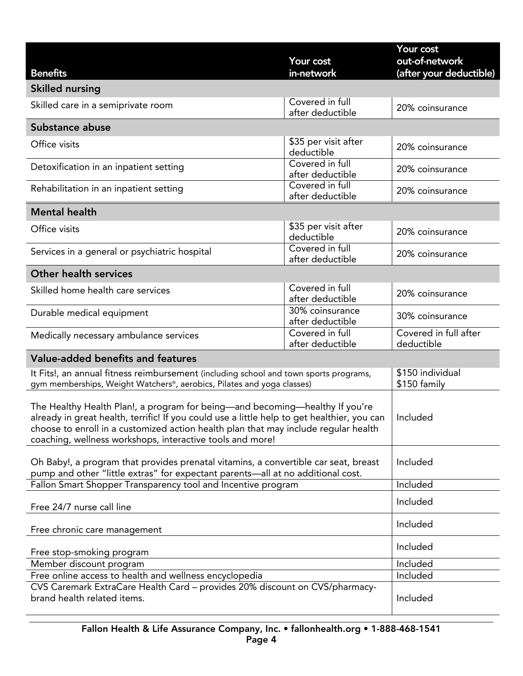|                                                                                                                                                                                                                                                                                                                                 |                                     | Your cost                                 |  |
|---------------------------------------------------------------------------------------------------------------------------------------------------------------------------------------------------------------------------------------------------------------------------------------------------------------------------------|-------------------------------------|-------------------------------------------|--|
| <b>Benefits</b>                                                                                                                                                                                                                                                                                                                 | Your cost<br>in-network             | out-of-network<br>(after your deductible) |  |
| <b>Skilled nursing</b>                                                                                                                                                                                                                                                                                                          |                                     |                                           |  |
|                                                                                                                                                                                                                                                                                                                                 | Covered in full                     |                                           |  |
| Skilled care in a semiprivate room                                                                                                                                                                                                                                                                                              | after deductible                    | 20% coinsurance                           |  |
| Substance abuse                                                                                                                                                                                                                                                                                                                 |                                     |                                           |  |
| Office visits                                                                                                                                                                                                                                                                                                                   | \$35 per visit after<br>deductible  | 20% coinsurance                           |  |
| Detoxification in an inpatient setting                                                                                                                                                                                                                                                                                          | Covered in full<br>after deductible | 20% coinsurance                           |  |
| Rehabilitation in an inpatient setting                                                                                                                                                                                                                                                                                          | Covered in full<br>after deductible | 20% coinsurance                           |  |
| <b>Mental health</b>                                                                                                                                                                                                                                                                                                            |                                     |                                           |  |
| Office visits                                                                                                                                                                                                                                                                                                                   | \$35 per visit after<br>deductible  | 20% coinsurance                           |  |
| Services in a general or psychiatric hospital                                                                                                                                                                                                                                                                                   | Covered in full<br>after deductible | 20% coinsurance                           |  |
| <b>Other health services</b>                                                                                                                                                                                                                                                                                                    |                                     |                                           |  |
| Skilled home health care services                                                                                                                                                                                                                                                                                               | Covered in full<br>after deductible | 20% coinsurance                           |  |
| Durable medical equipment                                                                                                                                                                                                                                                                                                       | 30% coinsurance<br>after deductible | 30% coinsurance                           |  |
| Medically necessary ambulance services                                                                                                                                                                                                                                                                                          | Covered in full<br>after deductible | Covered in full after<br>deductible       |  |
| Value-added benefits and features                                                                                                                                                                                                                                                                                               |                                     |                                           |  |
| It Fits!, an annual fitness reimbursement (including school and town sports programs,<br>gym memberships, Weight Watchers®, aerobics, Pilates and yoga classes)                                                                                                                                                                 |                                     | \$150 individual<br>\$150 family          |  |
| The Healthy Health Plan!, a program for being—and becoming—healthy If you're<br>already in great health, terrific! If you could use a little help to get healthier, you can<br>choose to enroll in a customized action health plan that may include regular health<br>coaching, wellness workshops, interactive tools and more! |                                     | Included                                  |  |
| Oh Baby!, a program that provides prenatal vitamins, a convertible car seat, breast<br>pump and other "little extras" for expectant parents-all at no additional cost.                                                                                                                                                          |                                     | Included                                  |  |
| Fallon Smart Shopper Transparency tool and Incentive program                                                                                                                                                                                                                                                                    |                                     | Included                                  |  |
| Free 24/7 nurse call line                                                                                                                                                                                                                                                                                                       |                                     | Included                                  |  |
| Free chronic care management                                                                                                                                                                                                                                                                                                    |                                     | Included                                  |  |
| Free stop-smoking program                                                                                                                                                                                                                                                                                                       |                                     | Included                                  |  |
| Member discount program                                                                                                                                                                                                                                                                                                         |                                     | Included                                  |  |
| Free online access to health and wellness encyclopedia                                                                                                                                                                                                                                                                          |                                     | Included                                  |  |
| CVS Caremark ExtraCare Health Card - provides 20% discount on CVS/pharmacy-<br>brand health related items.                                                                                                                                                                                                                      |                                     | Included                                  |  |